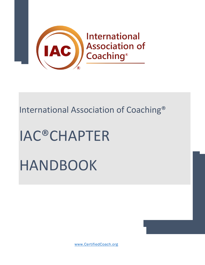

## International Association of Coaching®

# IAC®CHAPTER HANDBOOK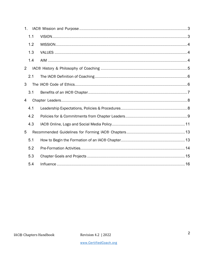| 1. |     |  |
|----|-----|--|
|    | 1.1 |  |
|    | 1.2 |  |
|    | 1.3 |  |
|    | 1.4 |  |
| 2  |     |  |
|    | 2.1 |  |
| 3  |     |  |
|    | 3.1 |  |
| 4  |     |  |
|    | 4.1 |  |
|    | 4.2 |  |
|    | 4.3 |  |
| 5  |     |  |
|    | 5.1 |  |
|    | 5.2 |  |
|    | 5.3 |  |
|    | 5.4 |  |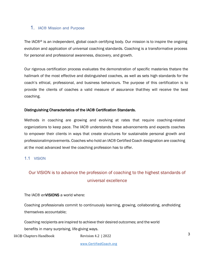#### 1. IAC® Mission and Purpose

The IAC®® is an independent, global coach certifying body. Our mission is to inspire the ongoing evolution and application of universal coaching standards. Coaching is a transformative process for personal and professional awareness, discovery, and growth.

Our rigorous certification process evaluates the demonstration of specific masteries thatare the hallmark of the most effective and distinguished coaches, as well as sets high standards for the coach's ethical, professional, and business behaviours. The purpose of this certification is to provide the clients of coaches a valid measure of assurance thatthey will receive the best coaching.

#### Distinguishing Characteristics of the IAC® Certification Standards.

Methods in coaching are growing and evolving at rates that require coaching-related organizations to keep pace. The IAC® understands these advancements and expects coaches to empower their clients in ways that create structures for sustainable personal growth and professionalimprovements. Coaches who hold an IAC® Certified Coach designation are coaching at the most advanced level the coaching profession has to offer.

#### 1.1 VISION

## Our VISION is to advance the profession of coaching to the highest standards of universal excellence

#### The IAC® enVISIONS a world where:

Coaching professionals commit to continuously learning, growing, collaborating, andholding themselves accountable;

Coaching recipients are inspired to achieve their desired outcomes; and the world benefits in many surprising, life-giving ways.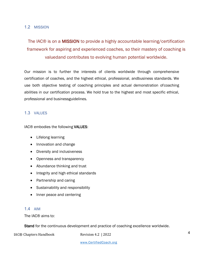#### 1.2 MISSION

## The IAC® is on a MISSION to provide a highly accountable learning/certification framework for aspiring and experienced coaches, so their mastery of coaching is valuedand contributes to evolving human potential worldwide.

Our mission is to further the interests of clients worldwide through comprehensive certification of coaches, and the highest ethical, professional, andbusiness standards. We use both objective testing of coaching principles and actual demonstration ofcoaching abilities in our certification process. We hold true to the highest and most specific ethical, professional and businessguidelines.

#### 1.3 VALUES

IAC® embodies the following VALUES:

- Lifelong learning
- Innovation and change
- Diversity and inclusiveness
- Openness and transparency
- Abundance thinking and trust
- Integrity and high ethical standards
- Partnership and caring
- Sustainability and responsibility
- Inner peace and centering

#### 1.4 AIM

The IAC® aims to:

Stand for the continuous development and practice of coaching excellence worldwide.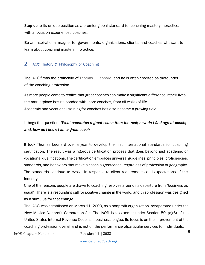Step up to its unique position as a premier global standard for coaching mastery inpractice, with a focus on experienced coaches.

Be an inspirational magnet for governments, organizations, clients, and coaches whowant to learn about coaching mastery in practice.

#### 2 IAC® History & Philosophy of Coaching

The IAC®® was the brainchild of Thomas J. Leonard, and he is often credited as thefounder of the coaching profession.

As more people come to realize that great coaches can make a significant difference intheir lives, the marketplace has responded with more coaches, from all walks of life. Academic and vocational training for coaches has also become a growing field.

### It begs the question. *"What separates a great coach from the rest; how do I find agreat coach; and, how do I know I am a great coach*

It took Thomas Leonard over a year to develop the first international standards for coaching certification. The result was a rigorous certification process that goes beyond just academic or vocational qualifications. The certification embraces universal guidelines, principles, proficiencies, standards, and behaviors that make a coach a greatcoach, regardless of profession or geography. The standards continue to evolve in response to client requirements and expectations of the industry.

One of the reasons people are drawn to coaching revolves around its departure from "business as usual". There is a resounding call for positive change in the world, and thisprofession was designed as a stimulus for that change.

The IAC® was established on March 11, 2003, as a nonprofit organization incorporated under the New Mexico Nonprofit Corporation Act. The IAC® is tax-exempt under Section 501(c)(6) of the United States Internal Revenue Code as a business league. Its focus is on the improvement of the coaching profession overall and is not on the performance ofparticular services for individuals.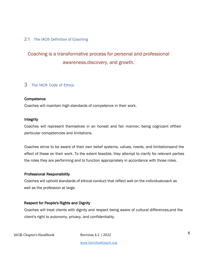#### 2.1 The IAC® Definition of Coaching

## Coaching is a transformative process for personal and professional awareness,discovery, and growth.

#### 3 The IAC® Code of Ethics

#### **Competence**

Coaches will maintain high standards of competence in their work.

#### Integrity

Coaches will represent themselves in an honest and fair manner, being cognizant oftheir particular competencies and limitations.

Coaches strive to be aware of their own belief systems, values, needs, and limitationsand the effect of these on their work. To the extent feasible, they attempt to clarify for relevant parties the roles they are performing and to function appropriately in accordance with those roles.

#### Professional Responsibility

Coaches will uphold standards of ethical conduct that reflect well on the individualcoach as well as the profession at large.

#### Respect for People's Rights and Dignity

Coaches will treat clients with dignity and respect being aware of cultural differences,and the client's right to autonomy, privacy, and confidentiality.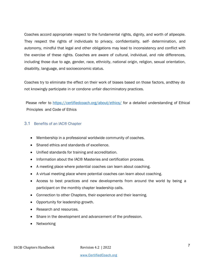Coaches accord appropriate respect to the fundamental rights, dignity, and worth of allpeople. They respect the rights of individuals to privacy, confidentiality, self- determination, and autonomy, mindful that legal and other obligations may lead to inconsistency and conflict with the exercise of these rights. Coaches are aware of cultural, individual, and role differences, including those due to age, gender, race, ethnicity, national origin, religion, sexual orientation, disability, language, and socioeconomic status.

Coaches try to eliminate the effect on their work of biases based on those factors, andthey do not knowingly participate in or condone unfair discriminatory practices.

Please refer to https://certifiedcoach.org/about/ethics/ for a detailed understanding of Ethical Principles and Code of Ethics

#### 3.1 Benefits of an IAC® Chapter

- Membership in a professional worldwide community of coaches.
- Shared ethics and standards of excellence.
- Unified standards for training and accreditation.
- Information about the IAC<sup>®</sup> Masteries and certification process.
- A meeting place where potential coaches can learn about coaching.
- A virtual meeting place where potential coaches can learn about coaching.
- Access to best practices and new developments from around the world by being a participant on the monthly chapter leadership calls.
- Connection to other Chapters, their experience and their learning.
- Opportunity for leadership growth.
- Research and resources.
- Share in the development and advancement of the profession.
- Networking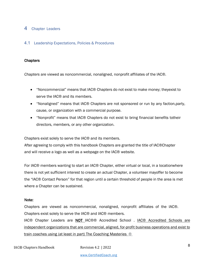#### 4 Chapter Leaders

#### 4.1 Leadership Expectations, Policies & Procedures

#### **Chapters**

*Chapters* are viewed as noncommercial, nonaligned, nonprofit affiliates of the IAC®.

- "Noncommercial" means that IAC® Chapters do not exist to make money; theyexist to serve the IAC<sup>®</sup> and its members.
- "Nonaligned" means that IAC® Chapters are not sponsored or run by any faction,party, cause, or organization with a commercial purpose.
- "Nonprofit" means that IAC® Chapters do not exist to bring financial benefits totheir directors, members, or any other organization.

Chapters exist solely to serve the IAC® and its members.

After agreeing to comply with this handbook Chapters are granted the title of IAC®Chapter and will receive a logo as well as a webpage on the IAC® website.

For IAC® members wanting to start an IAC® Chapter, either virtual or local, in a locationwhere there is not yet sufficient interest to create an actual Chapter, a volunteer mayoffer to become the "IAC® Contact Person" for that region until a certain threshold of people in the area is met where a Chapter can be sustained.

#### Note:

Chapters are viewed as noncommercial, nonaligned, nonprofit affiliates of the IAC®. Chapters exist solely to serve the IAC® and IAC® members.

IAC® Chapter Leaders are **NOT** IAC®® Accredited School . IAC® Accredited Schools are independent organizations that are commercial, aligned, for-profit business operations and exist to train coaches using (at least in part) The Coaching Masteries ®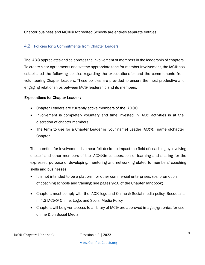Chapter business and IAC®® Accredited Schools are entirely separate entities.

#### 4.2 Policies for & Commitments from Chapter Leaders

The IAC® appreciates and celebrates the involvement of members in the leadership of chapters. To create clear agreements and set the appropriate tone for member involvement, the IAC® has established the following policies regarding the expectationsfor and the commitments from volunteering Chapter Leaders. These policies are provided to ensure the most productive and engaging relationships between IAC® leadership and its members.

#### Expectations for Chapter Leader :

- Chapter Leaders are currently active members of the IAC®®
- Involvement is completely voluntary and time invested in IAC® activities is at the discretion of chapter members.
- The term to use for a Chapter Leader is [your name] Leader IAC®® [name ofchapter] **Chapter**

The intention for involvement is a heartfelt desire to impact the field of coaching by involving oneself and other members of the IAC®®in collaboration of learning and sharing for the expressed purpose of developing, mentoring and networkingrelated to members' coaching skills and businesses.

- It is not intended to be a platform for other commercial enterprises. (i.e. promotion of coaching schools and training; see pages 9-10 of the ChapterHandbook)
- Chapters must comply with the IAC® logo and Online & Social media policy. Seedetails in 4.3 IAC®® Online, Logo, and Social Media Policy
- Chapters will be given access to a library of IAC® pre-approved images/graphics for use online & on Social Media.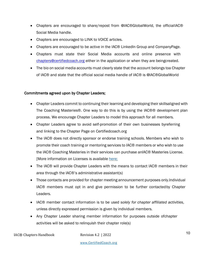- Chapters are encouraged to share/repost from @IAC®GlobalWorld, the officialIAC® Social Media handle.
- Chapters are encouraged to LINK to VOICE articles.
- Chapters are encouraged to be active in the IAC® LinkedIn Group and CompanyPage.
- Chapters must state their Social Media accounts and online presence with chapters@certifiedcoach.org either in the application or when they are beingcreated.
- The bio on social media accounts must clearly state that the account belongs toa Chapter of IAC® and state that the official social media handle of IAC® is @IAC®GlobalWorld

#### Commitments agreed upon by Chapter Leaders;

- Chapter Leaders commit to continuing their learning and developing their skillsaligned with The Coaching Masteries®. One way to do this is by using the IAC®® development plan process. We encourage Chapter Leaders to model this approach for all members.
- Chapter Leaders agree to avoid self-promotion of their own businesses byreferring and linking to the Chapter Page on Certifiedcoach.org
- The IAC® does not directly sponsor or endorse training schools. Members who wish to promote their coach training or mentoring services to IAC® members or who wish to use the IAC® Coaching Masteries in their services can purchase anIAC® Masteries License. [More information on Licenses is available here;
- The IAC<sup>®</sup> will provide Chapter Leaders with the means to contact IAC<sup>®</sup> members in their area through the IAC®'s administrative assistant(s)
- Those contacts are provided for chapter meeting announcement purposes only.Individual IAC® members must opt in and give permission to be further contactedby Chapter Leaders.
- IAC® member contact information is to be used *solely for chapter affiliated activities*, unless directly expressed permission is given by individual members.
- Any Chapter Leader sharing member information for purposes outside ofchapter activities will be asked to relinquish their chapter role(s)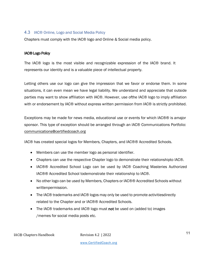#### 4.3 IAC® Online, Logo and Social Media Policy

Chapters must comply with the IAC® logo and Online & Social media policy.

#### IAC® Logo Policy

The IAC® logo is the most visible and recognizable expression of the IAC® brand. It represents our identity and is a valuable piece of intellectual property.

Letting others use our logo can give the impression that we favor or endorse them. In some situations, it can even mean we have legal liability. We understand and appreciate that outside parties may want to show affiliation with IAC®. However, use ofthe IAC® logo to imply affiliation with or endorsement by IAC® without express written permission from IAC® is strictly prohibited.

Exceptions may be made for news media, educational use or events for which IAC®® is amajor sponsor. This type of exception should be arranged through an IAC® Communications Portfolio: communications@certifiedcoach.org

IAC® has created special logos for Members, Chapters, and IAC®® Accredited Schools.

- Members can use the member logo as personal identifier.
- Chapters can use the respective Chapter logo to demonstrate their relationshipto IAC®.
- IAC®® Accredited School Logo can be used by IAC® Coaching Masteries Authorized IAC®® Accredited School todemonstrate their relationship to IAC®.
- No other logo can be used by Members, Chapters or IAC®® Accredited Schools without writtenpermission.
- The IAC® trademarks and IAC® logos may only be used to promote activitiesdirectly related to the Chapter and or IAC®® Accredited Schools.
- The IAC® trademarks and IAC® logo must not be used on (added to) images /memes for social media posts etc.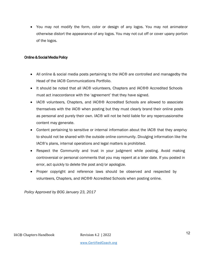• You may not modify the form, color or design of any logos. You may not animateor otherwise distort the appearance of any logos. You may not cut off or cover upany portion of the logos.

#### Online & Social Media Policy

- All online & social media posts pertaining to the IAC® are controlled and managedby the Head of the IAC® Communications Portfolio.
- It should be noted that all IAC® volunteers, Chapters and IAC®® Accredited Schools must act inaccordance with the 'agreement' that they have signed.
- IAC® volunteers, Chapters, and IAC®® Accredited Schools are allowed to associate themselves with the IAC® when posting but they must clearly brand their online posts as personal and purely their own. IAC® will not be held liable for any repercussionsthe content may generate.
- Content pertaining to sensitive or internal information about the IAC® that they areprivy to should not be shared with the outside online community. Divulging information like the IAC®'s plans, internal operations and legal matters is prohibited.
- Respect the Community and trust in your judgment while posting. Avoid making controversial or personal comments that you may repent at a later date. If you posted in error, act quickly to delete the post and/or apologize.
- Proper copyright and reference laws should be observed and respected by volunteers, Chapters, and IAC®® Accredited Schools when posting online.

*Policy Approved by BOG January 23, 2017*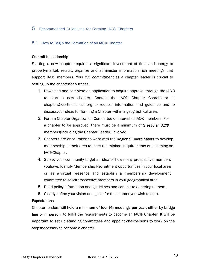#### 5 Recommended Guidelines for Forming IAC® Chapters

#### 5.1 How to Begin the Formation of an IAC® Chapter

#### Commit to leadership

Starting a new chapter requires a significant investment of time and energy to properlymarket, recruit, organize and administer information rich meetings that support IAC® members. Your *full commitment* as a chapter leader is crucial to setting up the chapterfor success.

- 1. Download and complete an application to acquire approval through the IAC® to start a new chapter. Contact the IAC® Chapter Coordinator at chapters@certifiedcoach.org to request information and guidance and to discussyour ideas for forming a Chapter within a geographical area.
- 2. Form a Chapter Organization Committee of interested IAC® members. For a chapter to be approved, there must be a minimum of 3 regular IAC<sup>®</sup> members(including the Chapter Leader) involved.
- 3. Chapters are encouraged to work with the Regional Coordinators to develop membership in their area to meet the minimal requirements of becoming an IAC®Chapter.
- 4. Survey your community to get an idea of how many prospective members youhave. Identify Membership Recruitment opportunities in your local area or as a virtual presence and establish a membership development committee to solicitprospective members in your geographical area.
- 5. Read policy information and guidelines and commit to adhering to them.
- 6. Clearly define your vision and goals for the chapter you wish to start.

#### **Expectations**

Chapter leaders will hold a minimum of four (4) meetings per year, either by bridge line or in person, to fulfill the requirements to become an IAC® Chapter. It will be important to set up standing committees and appoint chairpersons to work on the stepsnecessary to become a chapter.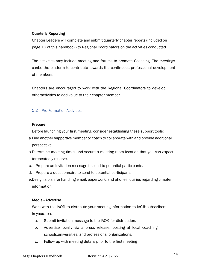#### Quarterly Reporting

Chapter Leaders will complete and submit quarterly chapter reports (included on page 16 of this handbook) to Regional Coordinators on the activities conducted.

The activities may include meeting and forums to promote Coaching. The meetings canbe the platform to contribute towards the continuous professional development of members.

Chapters are encouraged to work with the Regional Coordinators to develop otheractivities to add value to their chapter member.

#### 5.2 Pre-Formation Activities

#### Prepare

Before launching your first meeting, consider establishing these support tools:

- a.Find another supportive member or coach to collaborate with and provide additional perspective.
- b.Determine meeting times and secure a meeting room location that you can expect torepeatedly reserve.
- c. Prepare an invitation message to send to potential participants.
- d. Prepare a questionnaire to send to potential participants.
- e.Design a plan for handling email, paperwork, and phone inquiries regarding chapter information.

#### Media - Advertise

Work with the IAC® to distribute your meeting information to IAC® subscribers in yourarea.

- a. Submit invitation message to the IAC® for distribution.
- b. Advertise locally via a press release, posting at local coaching schools,universities, and professional organizations.
- c. Follow up with meeting details prior to the first meeting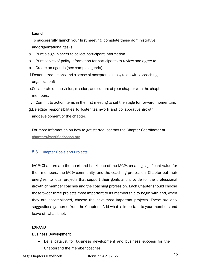#### Launch

To successfully launch your first meeting, complete these administrative andorganizational tasks:

- a. Print a sign-in sheet to collect participant information.
- b. Print copies of policy information for participants to review and agree to.
- c. Create an agenda (see sample agenda).
- d.Foster introductions and a sense of acceptance (easy to do with a coaching organization!)
- e.Collaborate on the vision, mission, and culture of your chapter with the chapter members.
- f. Commit to action items in the first meeting to set the stage for forward momentum.
- g.Delegate responsibilities to foster teamwork and collaborative growth anddevelopment of the chapter.

For more information on how to get started, contact the Chapter Coordinator at chapters@certifiedcoach.org.

#### 5.3 Chapter Goals and Projects

IAC® Chapters are the heart and backbone of the IAC®, creating significant value for their members, the IAC® community, and the coaching profession. Chapter put their energiesinto local projects that support their goals and provide for the professional growth of member coaches and the coaching profession. Each Chapter should choose those twoor three projects most important to its membership to begin with and, when they are accomplished, choose the next most important projects. These are only suggestions gathered from the Chapters. Add what is important to your members and leave off what isnot.

#### EXPAND

#### Business Development

• Be a catalyst for business development and business success for the Chapterand the member coaches.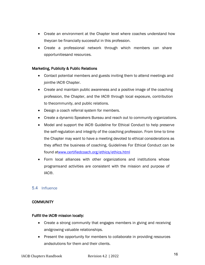- Create an environment at the Chapter level where coaches understand how theycan be financially successful in this profession.
- Create a professional network through which members can share opportunitiesand resources.

#### Marketing, Publicity & Public Relations

- Contact potential members and guests inviting them to attend meetings and jointhe IAC® Chapter.
- Create and maintain public awareness and a positive image of the coaching profession, the Chapter, and the IAC® through local exposure, contribution to thecommunity, and public relations.
- Design a coach referral system for members.
- Create a dynamic Speakers Bureau and reach out to community organizations.
- Model and support the IAC® Guideline for Ethical Conduct to help preserve the self-regulation and integrity of the coaching profession. From time to time the Chapter may want to have a meeting devoted to ethical considerations as they affect the business of coaching, Guidelines For Ethical Conduct can be found atwww.certifiedcoach.org/ethics/ethics.html
- Form local alliances with other organizations and institutions whose programsand activities are consistent with the mission and purpose of IAC®.

#### 5.4 Influence

#### **COMMUNITY**

#### Fulfill the IAC® mission locally:

- Create a strong community that engages members in giving and receiving andgrowing valuable relationships.
- Present the opportunity for members to collaborate in providing resources andsolutions for them and their clients.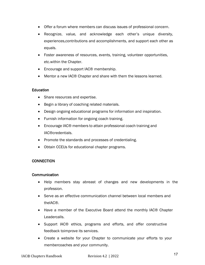- Offer a forum where members can discuss issues of professional concern.
- Recognize, value, and acknowledge each other's unique diversity, experiences,contributions and accomplishments, and support each other as equals.
- Foster awareness of resources, events, training, volunteer opportunities, etc.within the Chapter.
- Encourage and support IAC® membership.
- Mentor a new IAC® Chapter and share with them the lessons learned.

#### Education

- Share resources and expertise.
- Begin a library of coaching related materials.
- Design ongoing educational programs for information and inspiration.
- Furnish information for ongoing coach training.
- Encourage IAC® members to attain professional coach training and IAC®credentials.
- Promote the standards and processes of credentialing.
- Obtain CCEUs for educational chapter programs.

#### **CONNECTION**

#### **Communication**

- Help members stay abreast of changes and new developments in the profession.
- Serve as an effective communication channel between local members and theIAC®.
- Have a member of the Executive Board attend the monthly IAC® Chapter Leadercalls.
- Support IAC® ethics, programs and efforts, and offer constructive feedback toimprove its services.
- Create a website for your Chapter to communicate your efforts to your membercoaches and your community.